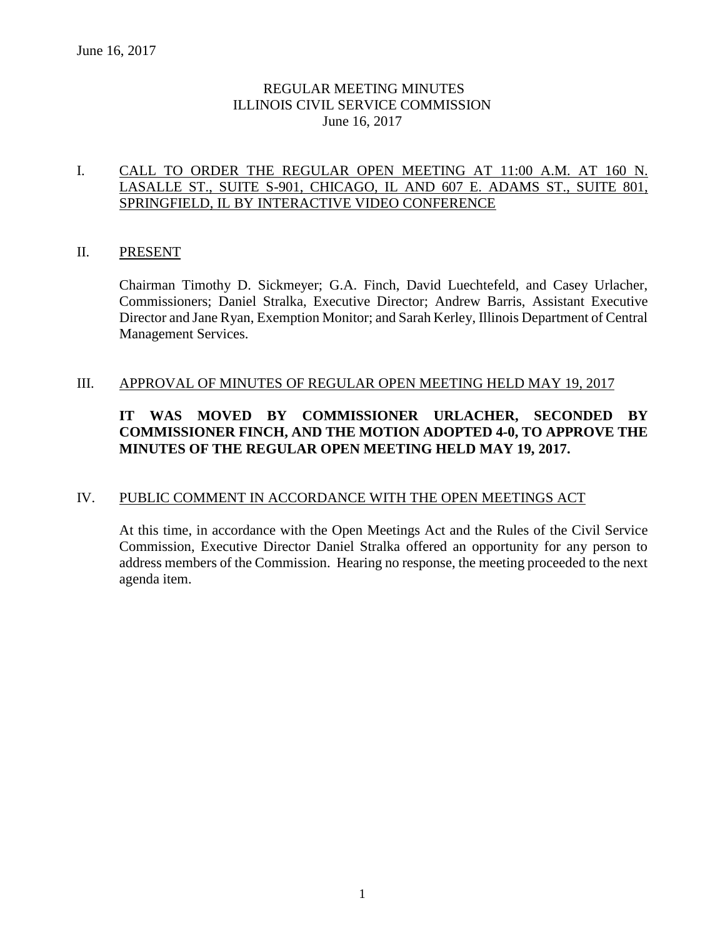# REGULAR MEETING MINUTES ILLINOIS CIVIL SERVICE COMMISSION June 16, 2017

## I. CALL TO ORDER THE REGULAR OPEN MEETING AT 11:00 A.M. AT 160 N. LASALLE ST., SUITE S-901, CHICAGO, IL AND 607 E. ADAMS ST., SUITE 801, SPRINGFIELD, IL BY INTERACTIVE VIDEO CONFERENCE

## II. PRESENT

Chairman Timothy D. Sickmeyer; G.A. Finch, David Luechtefeld, and Casey Urlacher, Commissioners; Daniel Stralka, Executive Director; Andrew Barris, Assistant Executive Director and Jane Ryan, Exemption Monitor; and Sarah Kerley, Illinois Department of Central Management Services.

#### III. APPROVAL OF MINUTES OF REGULAR OPEN MEETING HELD MAY 19, 2017

# **IT WAS MOVED BY COMMISSIONER URLACHER, SECONDED BY COMMISSIONER FINCH, AND THE MOTION ADOPTED 4-0, TO APPROVE THE MINUTES OF THE REGULAR OPEN MEETING HELD MAY 19, 2017.**

# IV. PUBLIC COMMENT IN ACCORDANCE WITH THE OPEN MEETINGS ACT

At this time, in accordance with the Open Meetings Act and the Rules of the Civil Service Commission, Executive Director Daniel Stralka offered an opportunity for any person to address members of the Commission. Hearing no response, the meeting proceeded to the next agenda item.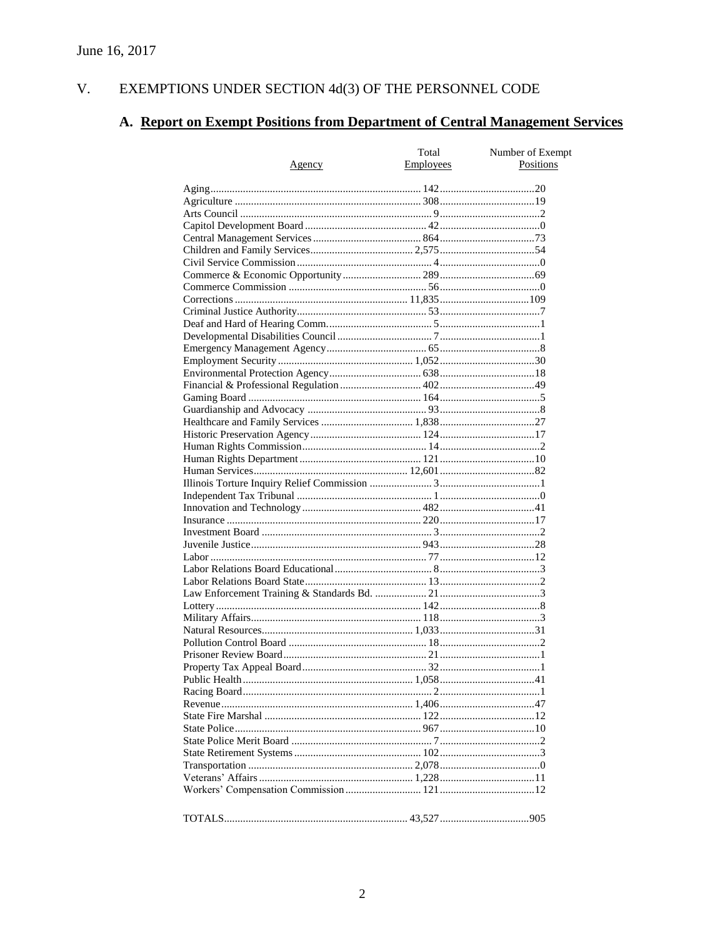#### $V<sub>r</sub>$ EXEMPTIONS UNDER SECTION 4d(3) OF THE PERSONNEL CODE

# A. Report on Exempt Positions from Department of Central Management Services

| <u>Agency</u> | Total<br>Employees | Number of Exempt<br>Positions |
|---------------|--------------------|-------------------------------|
|               |                    |                               |
|               |                    |                               |
|               |                    |                               |
|               |                    |                               |
|               |                    |                               |
|               |                    |                               |
|               |                    |                               |
|               |                    |                               |
|               |                    |                               |
|               |                    |                               |
|               |                    |                               |
|               |                    |                               |
|               |                    |                               |
|               |                    |                               |
|               |                    |                               |
|               |                    |                               |
|               |                    |                               |
|               |                    |                               |
|               |                    |                               |
|               |                    |                               |
|               |                    |                               |
|               |                    |                               |
|               |                    |                               |
|               |                    |                               |
|               |                    |                               |
|               |                    |                               |
|               |                    |                               |
|               |                    |                               |
|               |                    |                               |
|               |                    |                               |
|               |                    |                               |
|               |                    |                               |
|               |                    |                               |
|               |                    |                               |
|               |                    |                               |
|               |                    |                               |
|               |                    |                               |
|               |                    |                               |
|               |                    |                               |
|               |                    |                               |
|               |                    |                               |
|               |                    |                               |
|               |                    |                               |
|               |                    |                               |
|               |                    |                               |
|               |                    |                               |
|               |                    |                               |
|               |                    |                               |
|               |                    |                               |
|               |                    |                               |
|               |                    |                               |
|               |                    |                               |
|               |                    |                               |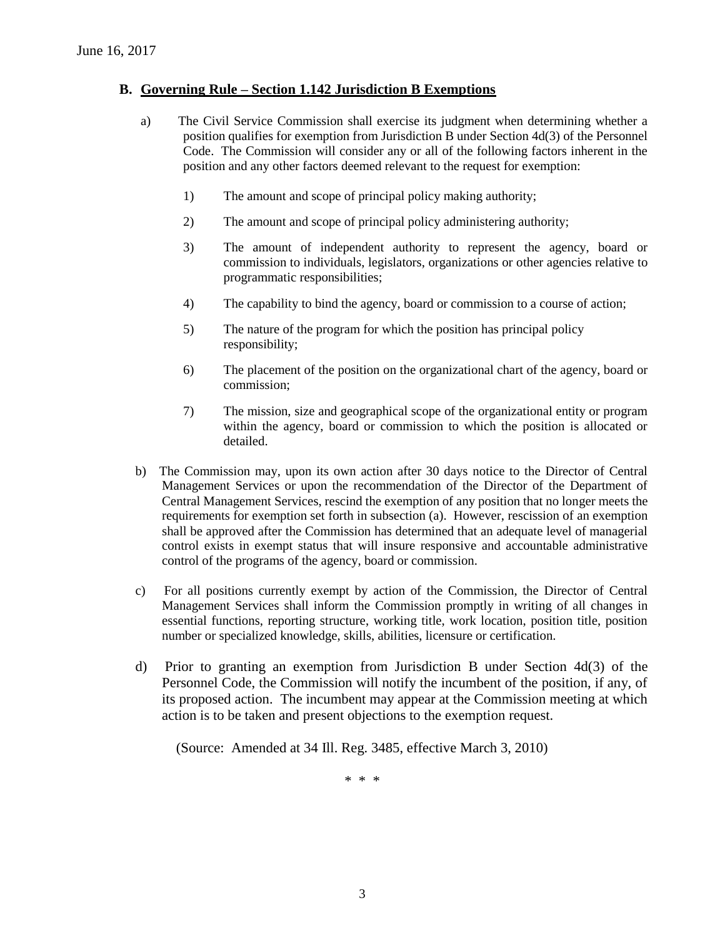## **B. Governing Rule – Section 1.142 Jurisdiction B Exemptions**

- a) The Civil Service Commission shall exercise its judgment when determining whether a position qualifies for exemption from Jurisdiction B under Section 4d(3) of the Personnel Code. The Commission will consider any or all of the following factors inherent in the position and any other factors deemed relevant to the request for exemption:
	- 1) The amount and scope of principal policy making authority;
	- 2) The amount and scope of principal policy administering authority;
	- 3) The amount of independent authority to represent the agency, board or commission to individuals, legislators, organizations or other agencies relative to programmatic responsibilities;
	- 4) The capability to bind the agency, board or commission to a course of action;
	- 5) The nature of the program for which the position has principal policy responsibility;
	- 6) The placement of the position on the organizational chart of the agency, board or commission;
	- 7) The mission, size and geographical scope of the organizational entity or program within the agency, board or commission to which the position is allocated or detailed.
- b) The Commission may, upon its own action after 30 days notice to the Director of Central Management Services or upon the recommendation of the Director of the Department of Central Management Services, rescind the exemption of any position that no longer meets the requirements for exemption set forth in subsection (a). However, rescission of an exemption shall be approved after the Commission has determined that an adequate level of managerial control exists in exempt status that will insure responsive and accountable administrative control of the programs of the agency, board or commission.
- c) For all positions currently exempt by action of the Commission, the Director of Central Management Services shall inform the Commission promptly in writing of all changes in essential functions, reporting structure, working title, work location, position title, position number or specialized knowledge, skills, abilities, licensure or certification.
- d) Prior to granting an exemption from Jurisdiction B under Section 4d(3) of the Personnel Code, the Commission will notify the incumbent of the position, if any, of its proposed action. The incumbent may appear at the Commission meeting at which action is to be taken and present objections to the exemption request.

(Source: Amended at 34 Ill. Reg. 3485, effective March 3, 2010)

\* \* \*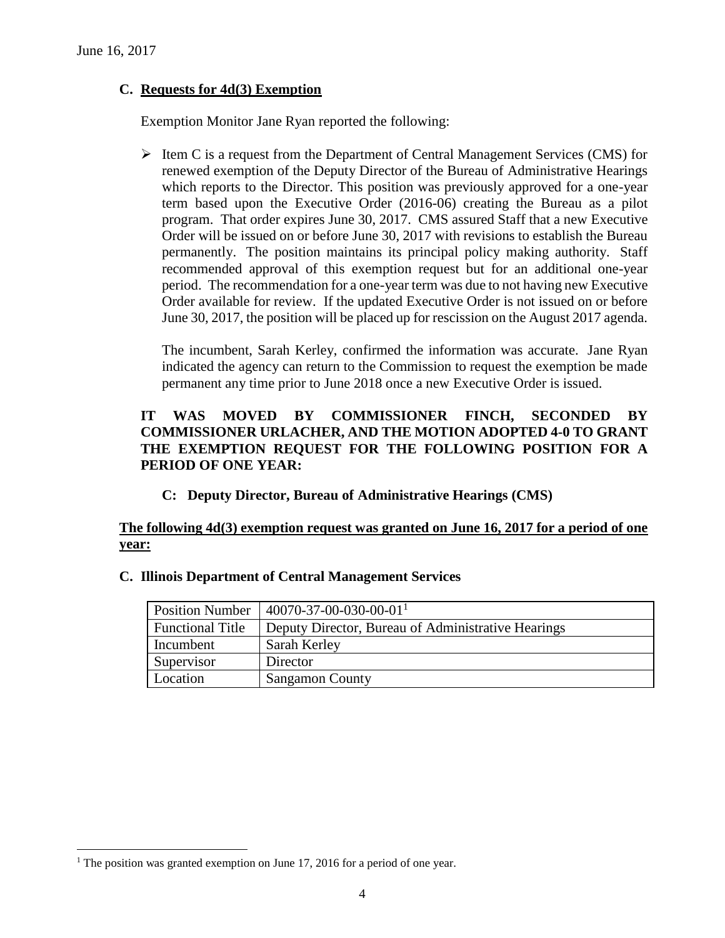# **C. Requests for 4d(3) Exemption**

Exemption Monitor Jane Ryan reported the following:

 $\triangleright$  Item C is a request from the Department of Central Management Services (CMS) for renewed exemption of the Deputy Director of the Bureau of Administrative Hearings which reports to the Director. This position was previously approved for a one-year term based upon the Executive Order (2016-06) creating the Bureau as a pilot program. That order expires June 30, 2017. CMS assured Staff that a new Executive Order will be issued on or before June 30, 2017 with revisions to establish the Bureau permanently. The position maintains its principal policy making authority. Staff recommended approval of this exemption request but for an additional one-year period. The recommendation for a one-year term was due to not having new Executive Order available for review. If the updated Executive Order is not issued on or before June 30, 2017, the position will be placed up for rescission on the August 2017 agenda.

The incumbent, Sarah Kerley, confirmed the information was accurate. Jane Ryan indicated the agency can return to the Commission to request the exemption be made permanent any time prior to June 2018 once a new Executive Order is issued.

# **IT WAS MOVED BY COMMISSIONER FINCH, SECONDED BY COMMISSIONER URLACHER, AND THE MOTION ADOPTED 4-0 TO GRANT THE EXEMPTION REQUEST FOR THE FOLLOWING POSITION FOR A PERIOD OF ONE YEAR:**

**C: Deputy Director, Bureau of Administrative Hearings (CMS)**

# **The following 4d(3) exemption request was granted on June 16, 2017 for a period of one year:**

| <b>Position Number</b>  | $40070 - 37 - 00 - 030 - 00 - 01$ <sup>1</sup>     |
|-------------------------|----------------------------------------------------|
| <b>Functional Title</b> | Deputy Director, Bureau of Administrative Hearings |
| Incumbent               | Sarah Kerley                                       |
| Supervisor              | Director                                           |
| Location                | <b>Sangamon County</b>                             |

#### **C. Illinois Department of Central Management Services**

 $\overline{a}$ 

<sup>&</sup>lt;sup>1</sup> The position was granted exemption on June 17, 2016 for a period of one year.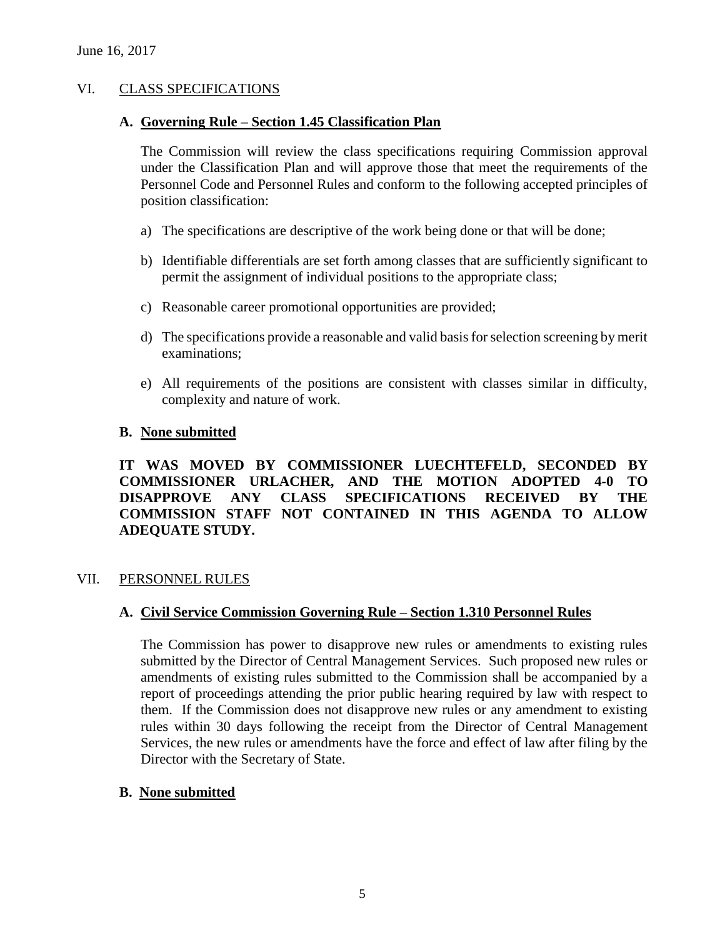# VI. CLASS SPECIFICATIONS

#### **A. Governing Rule – Section 1.45 Classification Plan**

The Commission will review the class specifications requiring Commission approval under the Classification Plan and will approve those that meet the requirements of the Personnel Code and Personnel Rules and conform to the following accepted principles of position classification:

- a) The specifications are descriptive of the work being done or that will be done;
- b) Identifiable differentials are set forth among classes that are sufficiently significant to permit the assignment of individual positions to the appropriate class;
- c) Reasonable career promotional opportunities are provided;
- d) The specifications provide a reasonable and valid basis for selection screening by merit examinations;
- e) All requirements of the positions are consistent with classes similar in difficulty, complexity and nature of work.

## **B. None submitted**

**IT WAS MOVED BY COMMISSIONER LUECHTEFELD, SECONDED BY COMMISSIONER URLACHER, AND THE MOTION ADOPTED 4-0 TO DISAPPROVE ANY CLASS SPECIFICATIONS RECEIVED BY THE COMMISSION STAFF NOT CONTAINED IN THIS AGENDA TO ALLOW ADEQUATE STUDY.** 

#### VII. PERSONNEL RULES

# **A. Civil Service Commission Governing Rule – Section 1.310 Personnel Rules**

The Commission has power to disapprove new rules or amendments to existing rules submitted by the Director of Central Management Services. Such proposed new rules or amendments of existing rules submitted to the Commission shall be accompanied by a report of proceedings attending the prior public hearing required by law with respect to them. If the Commission does not disapprove new rules or any amendment to existing rules within 30 days following the receipt from the Director of Central Management Services, the new rules or amendments have the force and effect of law after filing by the Director with the Secretary of State.

#### **B. None submitted**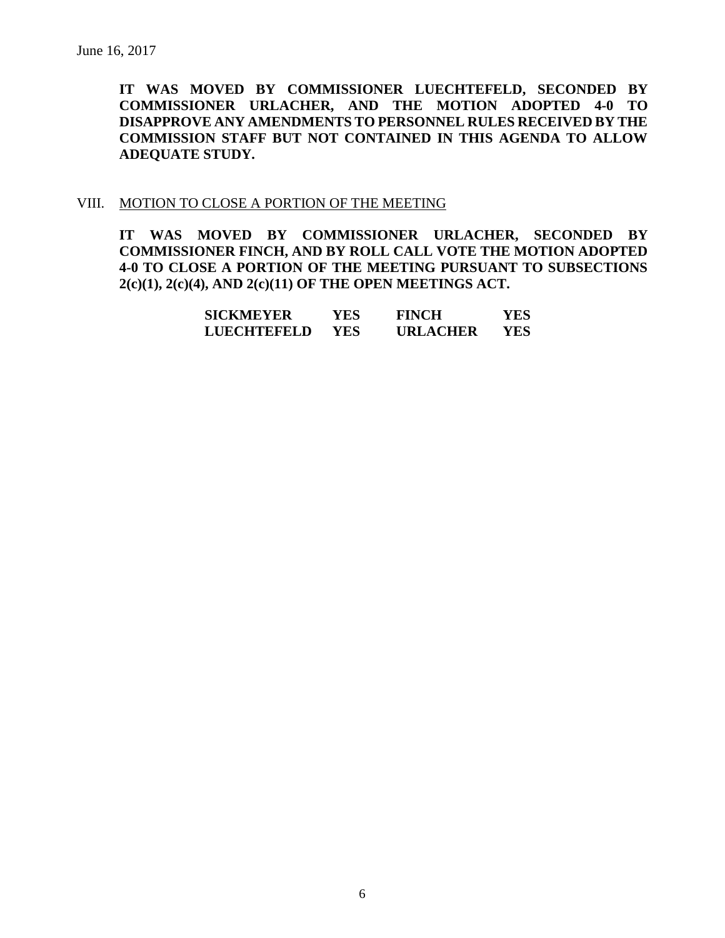**IT WAS MOVED BY COMMISSIONER LUECHTEFELD, SECONDED BY COMMISSIONER URLACHER, AND THE MOTION ADOPTED 4-0 TO DISAPPROVE ANY AMENDMENTS TO PERSONNEL RULES RECEIVED BY THE COMMISSION STAFF BUT NOT CONTAINED IN THIS AGENDA TO ALLOW ADEQUATE STUDY.** 

#### VIII. MOTION TO CLOSE A PORTION OF THE MEETING

**IT WAS MOVED BY COMMISSIONER URLACHER, SECONDED BY COMMISSIONER FINCH, AND BY ROLL CALL VOTE THE MOTION ADOPTED 4-0 TO CLOSE A PORTION OF THE MEETING PURSUANT TO SUBSECTIONS 2(c)(1), 2(c)(4), AND 2(c)(11) OF THE OPEN MEETINGS ACT.**

| SICKMEYER   | YES | <b>FINCH</b>    | YES  |
|-------------|-----|-----------------|------|
| LUECHTEFELD | YES | <b>URLACHER</b> | YES. |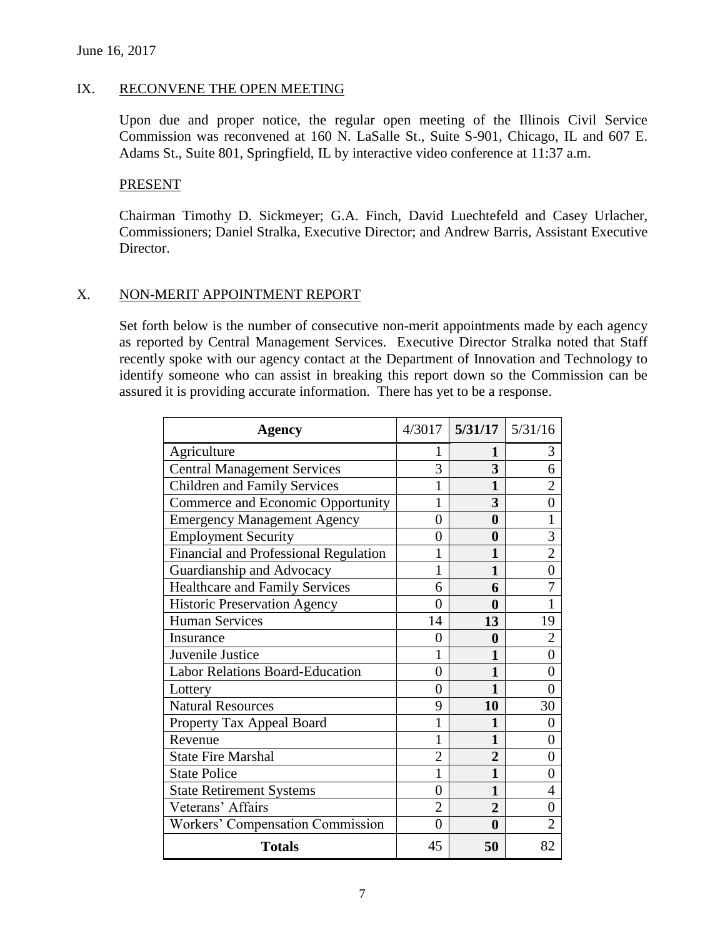### IX. RECONVENE THE OPEN MEETING

Upon due and proper notice, the regular open meeting of the Illinois Civil Service Commission was reconvened at 160 N. LaSalle St., Suite S-901, Chicago, IL and 607 E. Adams St., Suite 801, Springfield, IL by interactive video conference at 11:37 a.m.

#### PRESENT

Chairman Timothy D. Sickmeyer; G.A. Finch, David Luechtefeld and Casey Urlacher, Commissioners; Daniel Stralka, Executive Director; and Andrew Barris, Assistant Executive Director.

#### X. NON-MERIT APPOINTMENT REPORT

Set forth below is the number of consecutive non-merit appointments made by each agency as reported by Central Management Services. Executive Director Stralka noted that Staff recently spoke with our agency contact at the Department of Innovation and Technology to identify someone who can assist in breaking this report down so the Commission can be assured it is providing accurate information. There has yet to be a response.

| Agency                                 |                | $4/3017$ 5/31/17 5/31/16 |                |
|----------------------------------------|----------------|--------------------------|----------------|
| Agriculture                            | 1              | 1                        | 3              |
| <b>Central Management Services</b>     | 3              | 3                        | 6              |
| <b>Children and Family Services</b>    | 1              | 1                        | $\overline{2}$ |
| Commerce and Economic Opportunity      | 1              | 3                        | $\theta$       |
| <b>Emergency Management Agency</b>     | $\overline{0}$ | $\boldsymbol{0}$         | 1              |
| <b>Employment Security</b>             | $\overline{0}$ | $\bf{0}$                 | 3              |
| Financial and Professional Regulation  | 1              | 1                        | $\overline{2}$ |
| Guardianship and Advocacy              | 1              | $\mathbf{1}$             | $\overline{0}$ |
| <b>Healthcare and Family Services</b>  | 6              | 6                        | $\overline{7}$ |
| <b>Historic Preservation Agency</b>    | $\theta$       | $\boldsymbol{0}$         | $\mathbf{1}$   |
| <b>Human Services</b>                  | 14             | 13                       | 19             |
| Insurance                              | 0              | $\boldsymbol{0}$         | $\overline{2}$ |
| Juvenile Justice                       | 1              | 1                        | $\overline{0}$ |
| <b>Labor Relations Board-Education</b> | $\overline{0}$ | $\mathbf{1}$             | $\overline{0}$ |
| Lottery                                | $\theta$       | $\mathbf{1}$             | $\overline{0}$ |
| <b>Natural Resources</b>               | 9              | 10                       | 30             |
| Property Tax Appeal Board              | 1              | $\mathbf{1}$             | $\overline{0}$ |
| Revenue                                | 1              | 1                        | $\theta$       |
| <b>State Fire Marshal</b>              | $\overline{2}$ | $\overline{2}$           | $\overline{0}$ |
| <b>State Police</b>                    | 1              | 1                        | 0              |
| <b>State Retirement Systems</b>        | $\overline{0}$ | 1                        | $\overline{4}$ |
| Veterans' Affairs                      | $\overline{2}$ | $\overline{2}$           | $\overline{0}$ |
| Workers' Compensation Commission       | $\overline{0}$ | $\boldsymbol{0}$         | $\overline{2}$ |
| <b>Totals</b>                          | 45             | 50                       | 82             |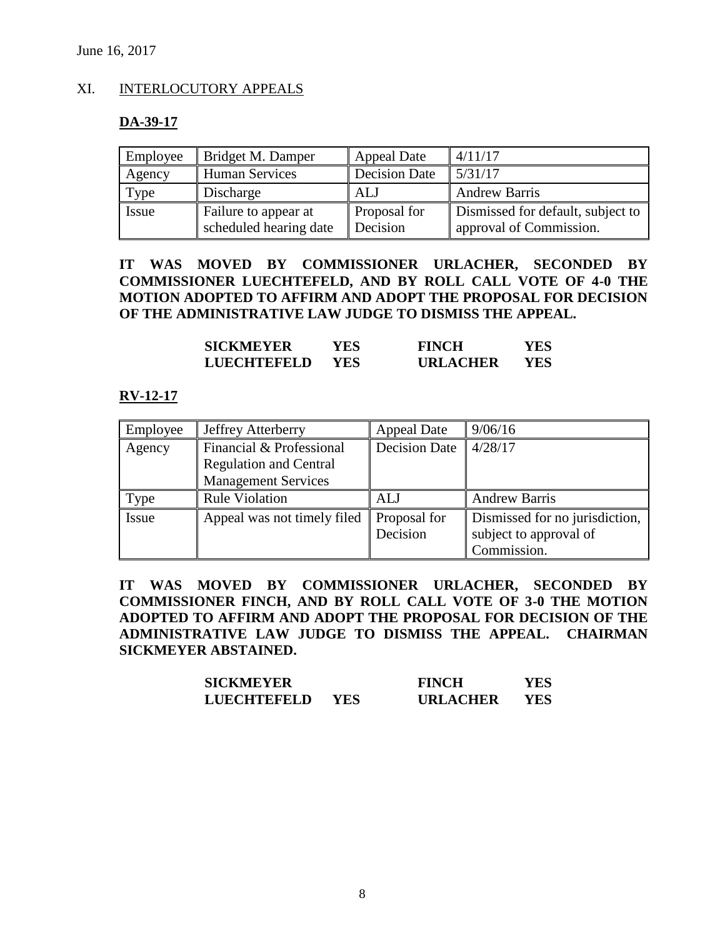# XI. INTERLOCUTORY APPEALS

#### **DA-39-17**

| Employee | Bridget M. Damper      | <b>Appeal Date</b>   | 4/11/17                           |
|----------|------------------------|----------------------|-----------------------------------|
| Agency   | <b>Human Services</b>  | <b>Decision Date</b> | 5/31/17                           |
| Type     | Discharge              | ALJ                  | <b>Andrew Barris</b>              |
| Issue    | Failure to appear at   | Proposal for         | Dismissed for default, subject to |
|          | scheduled hearing date | Decision             | approval of Commission.           |

**IT WAS MOVED BY COMMISSIONER URLACHER, SECONDED BY COMMISSIONER LUECHTEFELD, AND BY ROLL CALL VOTE OF 4-0 THE MOTION ADOPTED TO AFFIRM AND ADOPT THE PROPOSAL FOR DECISION OF THE ADMINISTRATIVE LAW JUDGE TO DISMISS THE APPEAL.**

| <b>SICKMEYER</b>   | YES  | <b>FINCH</b>    | YES |
|--------------------|------|-----------------|-----|
| <b>LUECHTEFELD</b> | YES. | <b>URLACHER</b> | YES |

#### **RV-12-17**

| Employee | <b>Jeffrey Atterberry</b>                                 | <b>Appeal Date</b>       | 9/06/16                                                                 |
|----------|-----------------------------------------------------------|--------------------------|-------------------------------------------------------------------------|
| Agency   | Financial & Professional<br><b>Regulation and Central</b> | <b>Decision Date</b>     | 14/28/17                                                                |
|          | <b>Management Services</b>                                |                          |                                                                         |
| Type     | <b>Rule Violation</b>                                     | ALJ                      | <b>Andrew Barris</b>                                                    |
| Issue    | Appeal was not timely filed                               | Proposal for<br>Decision | Dismissed for no jurisdiction,<br>subject to approval of<br>Commission. |

**IT WAS MOVED BY COMMISSIONER URLACHER, SECONDED BY COMMISSIONER FINCH, AND BY ROLL CALL VOTE OF 3-0 THE MOTION ADOPTED TO AFFIRM AND ADOPT THE PROPOSAL FOR DECISION OF THE ADMINISTRATIVE LAW JUDGE TO DISMISS THE APPEAL. CHAIRMAN SICKMEYER ABSTAINED.**

| <b>SICKMEYER</b>   |            | <b>FINCH</b>    | YES  |
|--------------------|------------|-----------------|------|
| <b>LUECHTEFELD</b> | <b>YES</b> | <b>URLACHER</b> | YES. |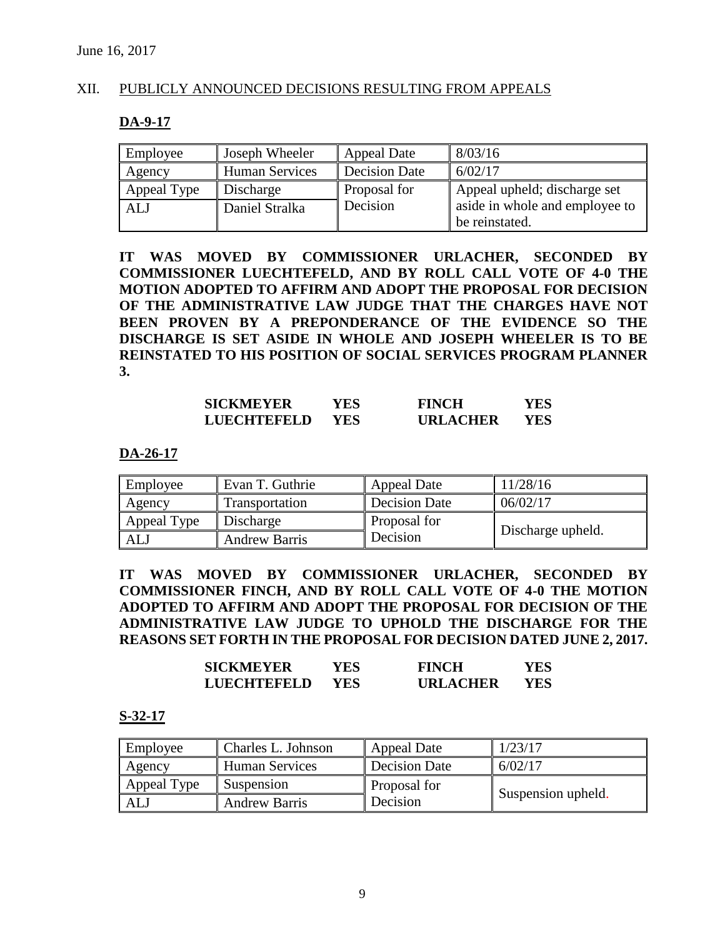## XII. PUBLICLY ANNOUNCED DECISIONS RESULTING FROM APPEALS

#### **DA-9-17**

| Employee    | Joseph Wheeler | <b>Appeal Date</b> | 8/03/16                        |
|-------------|----------------|--------------------|--------------------------------|
| Agency      | Human Services | Decision Date      | 6/02/17                        |
| Appeal Type | Discharge      | Proposal for       | Appeal upheld; discharge set   |
| <b>ALJ</b>  | Daniel Stralka | Decision           | aside in whole and employee to |
|             |                |                    | be reinstated.                 |

**IT WAS MOVED BY COMMISSIONER URLACHER, SECONDED BY COMMISSIONER LUECHTEFELD, AND BY ROLL CALL VOTE OF 4-0 THE MOTION ADOPTED TO AFFIRM AND ADOPT THE PROPOSAL FOR DECISION OF THE ADMINISTRATIVE LAW JUDGE THAT THE CHARGES HAVE NOT BEEN PROVEN BY A PREPONDERANCE OF THE EVIDENCE SO THE DISCHARGE IS SET ASIDE IN WHOLE AND JOSEPH WHEELER IS TO BE REINSTATED TO HIS POSITION OF SOCIAL SERVICES PROGRAM PLANNER 3.**

| <b>SICKMEYER</b>   | YES        | <b>FINCH</b>    | YES |
|--------------------|------------|-----------------|-----|
| <b>LUECHTEFELD</b> | <b>YES</b> | <b>URLACHER</b> | YES |

#### **DA-26-17**

| Employee    | Evan T. Guthrie      | <b>Appeal Date</b> | 11/28/16          |
|-------------|----------------------|--------------------|-------------------|
| Agency      | Transportation       | Decision Date      | 06/02/17          |
| Appeal Type | Discharge            | Proposal for       |                   |
| ALJ         | <b>Andrew Barris</b> | Decision           | Discharge upheld. |

**IT WAS MOVED BY COMMISSIONER URLACHER, SECONDED BY COMMISSIONER FINCH, AND BY ROLL CALL VOTE OF 4-0 THE MOTION ADOPTED TO AFFIRM AND ADOPT THE PROPOSAL FOR DECISION OF THE ADMINISTRATIVE LAW JUDGE TO UPHOLD THE DISCHARGE FOR THE REASONS SET FORTH IN THE PROPOSAL FOR DECISION DATED JUNE 2, 2017.**

| <b>SICKMEYER</b> | YES | <b>FINCH</b>    | YES. |
|------------------|-----|-----------------|------|
| LUECHTEFELD      | YES | <b>URLACHER</b> | YES. |

#### **S-32-17**

| Employee    | Charles L. Johnson   | Appeal Date   | 1/23/17            |
|-------------|----------------------|---------------|--------------------|
| Agency      | Human Services       | Decision Date | 6/02/17            |
| Appeal Type | Suspension           | Proposal for  |                    |
| AL.         | <b>Andrew Barris</b> | Decision      | Suspension upheld. |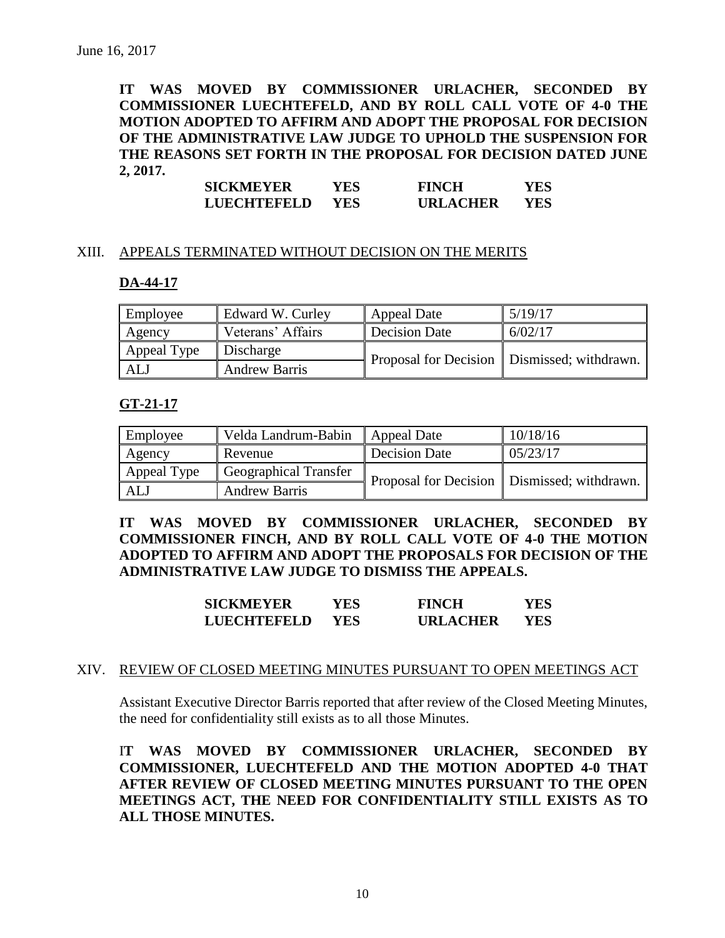**IT WAS MOVED BY COMMISSIONER URLACHER, SECONDED BY COMMISSIONER LUECHTEFELD, AND BY ROLL CALL VOTE OF 4-0 THE MOTION ADOPTED TO AFFIRM AND ADOPT THE PROPOSAL FOR DECISION OF THE ADMINISTRATIVE LAW JUDGE TO UPHOLD THE SUSPENSION FOR THE REASONS SET FORTH IN THE PROPOSAL FOR DECISION DATED JUNE 2, 2017.**

| <b>SICKMEYER</b>   | YES        | <b>FINCH</b>    | YES |
|--------------------|------------|-----------------|-----|
| <b>LUECHTEFELD</b> | <b>YES</b> | <b>URLACHER</b> | YES |

#### XIII. APPEALS TERMINATED WITHOUT DECISION ON THE MERITS

#### **DA-44-17**

| Employee    | Edward W. Curley     | <b>Appeal Date</b> | 5/19/17                                       |
|-------------|----------------------|--------------------|-----------------------------------------------|
| Agency      | Veterans' Affairs    | Decision Date      | 6/02/17                                       |
| Appeal Type | Discharge            |                    | Proposal for Decision   Dismissed; withdrawn. |
| ALJ         | <b>Andrew Barris</b> |                    |                                               |

#### **GT-21-17**

| Employee    | Velda Landrum-Babin          | <b>Appeal Date</b>   | 10/18/16                                      |
|-------------|------------------------------|----------------------|-----------------------------------------------|
| Agency      | Revenue                      | <b>Decision Date</b> | 05/23/17                                      |
| Appeal Type | <b>Geographical Transfer</b> |                      | Proposal for Decision   Dismissed; withdrawn. |
| ALJ         | <b>Andrew Barris</b>         |                      |                                               |

**IT WAS MOVED BY COMMISSIONER URLACHER, SECONDED BY COMMISSIONER FINCH, AND BY ROLL CALL VOTE OF 4-0 THE MOTION ADOPTED TO AFFIRM AND ADOPT THE PROPOSALS FOR DECISION OF THE ADMINISTRATIVE LAW JUDGE TO DISMISS THE APPEALS.**

| <b>SICKMEYER</b>   | YES | <b>FINCH</b>    | YES. |
|--------------------|-----|-----------------|------|
| <b>LUECHTEFELD</b> | YES | <b>URLACHER</b> | YES. |

#### XIV. REVIEW OF CLOSED MEETING MINUTES PURSUANT TO OPEN MEETINGS ACT

Assistant Executive Director Barris reported that after review of the Closed Meeting Minutes, the need for confidentiality still exists as to all those Minutes.

I**T WAS MOVED BY COMMISSIONER URLACHER, SECONDED BY COMMISSIONER, LUECHTEFELD AND THE MOTION ADOPTED 4-0 THAT AFTER REVIEW OF CLOSED MEETING MINUTES PURSUANT TO THE OPEN MEETINGS ACT, THE NEED FOR CONFIDENTIALITY STILL EXISTS AS TO ALL THOSE MINUTES.**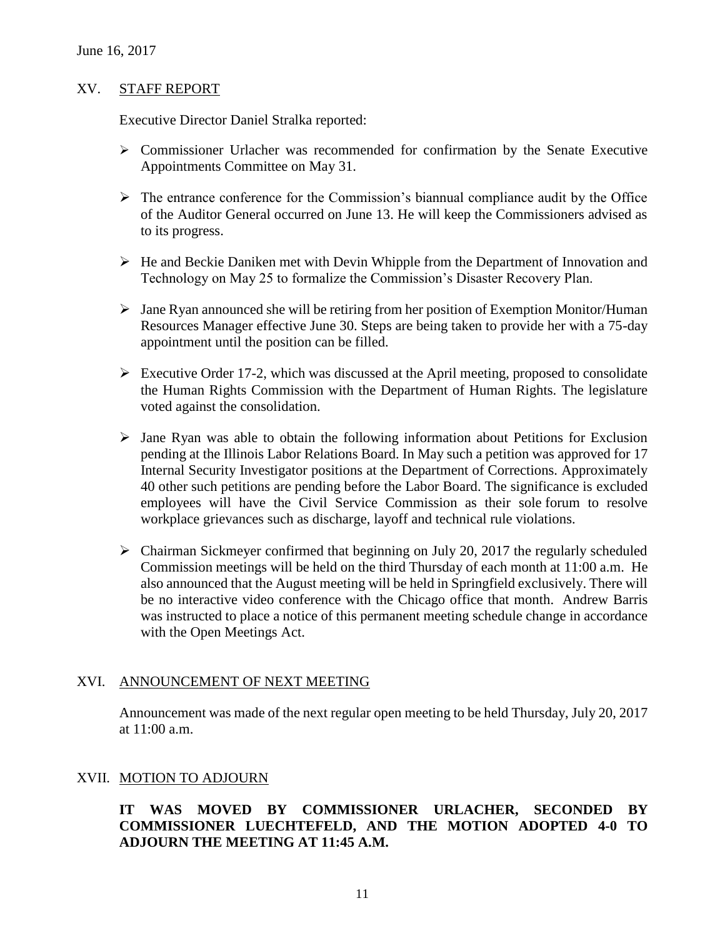#### XV. STAFF REPORT

Executive Director Daniel Stralka reported:

- $\triangleright$  Commissioner Urlacher was recommended for confirmation by the Senate Executive Appointments Committee on May 31.
- $\triangleright$  The entrance conference for the Commission's biannual compliance audit by the Office of the Auditor General occurred on June 13. He will keep the Commissioners advised as to its progress.
- $\triangleright$  He and Beckie Daniken met with Devin Whipple from the Department of Innovation and Technology on May 25 to formalize the Commission's Disaster Recovery Plan.
- $\triangleright$  Jane Ryan announced she will be retiring from her position of Exemption Monitor/Human Resources Manager effective June 30. Steps are being taken to provide her with a 75-day appointment until the position can be filled.
- $\triangleright$  Executive Order 17-2, which was discussed at the April meeting, proposed to consolidate the Human Rights Commission with the Department of Human Rights. The legislature voted against the consolidation.
- $\triangleright$  Jane Ryan was able to obtain the following information about Petitions for Exclusion pending at the Illinois Labor Relations Board. In May such a petition was approved for 17 Internal Security Investigator positions at the Department of Corrections. Approximately 40 other such petitions are pending before the Labor Board. The significance is excluded employees will have the Civil Service Commission as their sole forum to resolve workplace grievances such as discharge, layoff and technical rule violations.
- $\triangleright$  Chairman Sickmeyer confirmed that beginning on July 20, 2017 the regularly scheduled Commission meetings will be held on the third Thursday of each month at 11:00 a.m. He also announced that the August meeting will be held in Springfield exclusively. There will be no interactive video conference with the Chicago office that month. Andrew Barris was instructed to place a notice of this permanent meeting schedule change in accordance with the Open Meetings Act.

#### XVI. ANNOUNCEMENT OF NEXT MEETING

Announcement was made of the next regular open meeting to be held Thursday, July 20, 2017 at 11:00 a.m.

#### XVII. MOTION TO ADJOURN

# **IT WAS MOVED BY COMMISSIONER URLACHER, SECONDED BY COMMISSIONER LUECHTEFELD, AND THE MOTION ADOPTED 4-0 TO ADJOURN THE MEETING AT 11:45 A.M.**